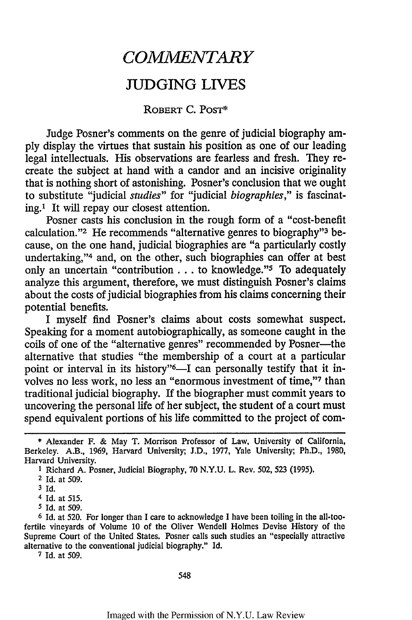## *COMMENTARY*

## JUDGING LIVES

## ROBERT C. POST\*

Judge Posner's comments on the genre of judicial biography am**ply** display the virtues that sustain his position as one of our leading legal intellectuals. His observations are fearless and fresh. They recreate the subject at hand with a candor and an incisive originality that is nothing short of astonishing. Posner's conclusion that we ought to substitute "judicial *studies"* for "judicial *biographies,"* is fascinating.' It will repay our closest attention.

Posner casts his conclusion in the rough form of a "cost-benefit calculation."<sup>2</sup> He recommends "alternative genres to biography"<sup>3</sup> because, on the one hand, judicial biographies are "a particularly costly undertaking,"<sup>4</sup> and, on the other, such biographies can offer at best only an uncertain "contribution... to knowledge." To adequately analyze this argument, therefore, we must distinguish Posner's claims about the costs of judicial biographies from his claims concerning their potential benefits.

I myself find Posner's claims about costs somewhat suspect. Speaking for a moment autobiographically, as someone caught in the coils of one of the "alternative genres" recommended by Posner-the alternative that studies "the membership of a court at a particular point or interval in its history"<sup>6</sup>—I can personally testify that it involves no less work, no less an "enormous investment of time,"7 than traditional judicial biography. If the biographer must commit years to uncovering the personal life of her subject, the student of a court must spend equivalent portions of his life committed to the project of com-

**7** Id. at 509.

548

<sup>\*</sup> Alexander F. & May T. Morrison Professor of Law, University of California, Berkeley. A.B., 1969, Harvard University; J.D., 1977, Yale University; Ph.D., 1980, Harvard University.

**<sup>1</sup>** Richard A. Posner, Judicial Biography, 70 N.Y.U. L. Rev. 502, 523 (1995).

<sup>2</sup> Id. at 509.

**<sup>3</sup>** Id.

<sup>4</sup> Id. at 515.

**<sup>5</sup>** Id. at 509.

**<sup>6</sup>** Id. at 520. For longer than I care to acknowledge I have been toiling in the all-toofertile vineyards of Volume 10 of the Oliver Wendell Holmes Devise History of the Supreme Court of the United States. Posner calls such studies an "especially attractive alternative to the conventional judicial biography." Id.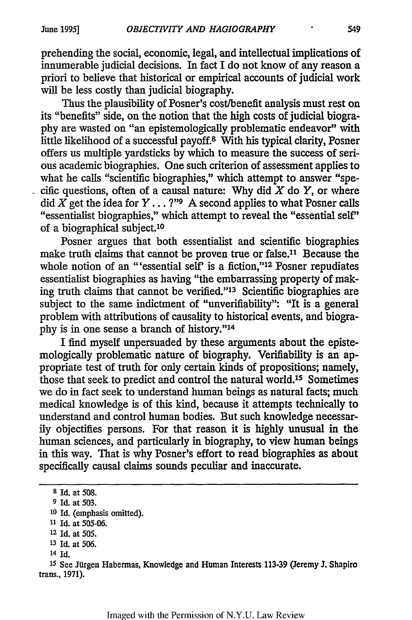prehending the social, economic, legal, and intellectual implications of innumerable judicial decisions. In fact I do not know of any reason a priori to believe that historical or empirical accounts of judicial work will be less costly than judicial biography.

Thus the plausibility of Posner's cost/benefit analysis must rest on its "benefits" side, on the notion that the high costs of judicial biography are wasted on "an epistemologically problematic endeavor" with little likelihood of a successful payoff.8 With his typical clarity, Posner offers us multiple yardsticks by which to measure the success of serious academic biographies. One such criterion of assessment applies to what he calls "scientific biographies," which attempt to answer "specific questions, often of a causal nature: Why did  $\overline{X}$  do  $\overline{Y}$ , or where did  $\overline{X}$  get the idea for  $Y \dots$ ?" A second applies to what Posner calls "essentialist biographies," which attempt to reveal the "essential self" of a biographical subject.'<sup>0</sup>

Posner argues that both essentialist and scientific biographies make truth claims that cannot be proven true or false.<sup>11</sup> Because the whole notion of an "'essential self' is a fiction," $12$  Posner repudiates essentialist biographies as having "the embarrassing property of making truth claims that cannot be verified."<sup>13</sup> Scientific biographies are subject to the same indictment of "unverifiability": "It is a general problem with attributions of causality to historical events, and biography is in one sense a branch of history."14

I find myself unpersuaded by these arguments about the epistemologically problematic nature of biography. Verifiability is an appropriate test of truth for only certain kinds of propositions; namely, those that seek to predict and control the natural world.15 Sometimes we do in fact seek to understand human beings as natural facts; much medical knowledge is of this kind, because it attempts technically to understand and control human bodies. But such knowledge necessarily objectifies persons. For that reason it is highly unusual in the human sciences, and particularly in biography, to view human beings in this way. That is why Posner's effort to read biographies as about specifically causal claims sounds peculiar and inaccurate.

14 Id.

**<sup>15</sup>**See Jtlrgen Habermas, Knowledge and Human Interests 113-39 (Jeremy **J.** Shapiro trans., 1971).

**<sup>8</sup>**Id. at 508.

**<sup>9</sup>** Id. at 503.

**<sup>10</sup>**Id. (emphasis omitted).

**<sup>11</sup>**Id. at 505-06.

<sup>12</sup> Id. at 505.

**<sup>13</sup>**Id. at 506.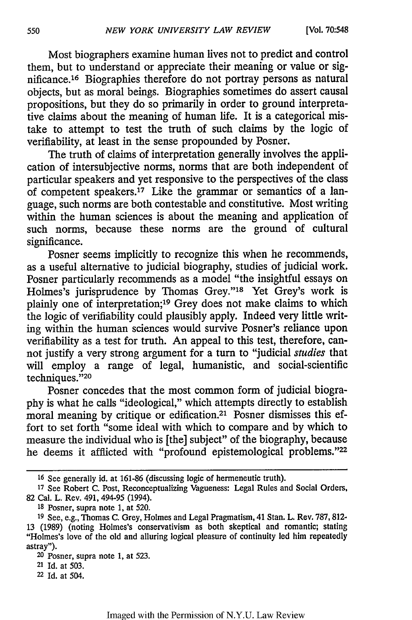Most biographers examine human lives not to predict and control them, but to understand or appreciate their meaning or value or significance.16 Biographies therefore do not portray persons as natural objects, but as moral beings. Biographies sometimes do assert causal propositions, but they do so primarily in order to ground interpretative claims about the meaning of human life. It is a categorical mistake to attempt to test the truth of such claims by the logic of verifiability, at least in the sense propounded by Posner.

The truth of claims of interpretation generally involves the application of intersubjective norms, norms that are both independent of particular speakers and yet responsive to the perspectives of the class of competent speakers.<sup>17</sup> Like the grammar or semantics of a language, such norms are both contestable and constitutive. Most writing within the human sciences is about the meaning and application of such norms, because these norms are the ground of cultural significance.

Posner seems implicitly to recognize this when he recommends, as a useful alternative to judicial biography, studies of judicial work. Posner particularly recommends as a model "the insightful essays on Holmes's jurisprudence by Thomas Grey."<sup>18</sup> Yet Grey's work is plainly one of interpretation;<sup>19</sup> Grey does not make claims to which the logic of verifiability could plausibly apply. Indeed very little writing within the human sciences would survive Posner's reliance upon verifiability as a test for truth. An appeal to this test, therefore, cannot justify a very strong argument for a turn to "judicial *studies* that will employ a range of legal, humanistic, and social-scientific techniques."20

Posner concedes that the most common form of judicial biography is what he calls "ideological," which attempts directly to establish moral meaning by critique or edification.2' Posner dismisses this effort to set forth "some ideal with which to compare and by which to measure the individual who is [the] subject" of the biography, because he deems it afflicted with "profound epistemological problems."22

**<sup>16</sup>**See generally id. at 161-86 (discussing logic of hermeneutic truth).

**<sup>17</sup>**See Robert C. Post, Reconceptualizing Vagueness: Legal Rules and Social Orders, 82 Cal. L. Rev. 491, 494-95 (1994).

**<sup>18</sup>**Posner, supra note 1, at 520.

**<sup>19</sup>**See, e.g., Thomas C. Grey, Holmes and Legal Pragmatism, 41 Stan. L. Rev. 787, 812- 13 (1989) (noting Holmes's conservativism as both skeptical and romantic; stating "Holmes's love of the old and alluring logical pleasure of continuity led him repeatedly astray").

 $20$  Posner, supra note 1, at 523.

<sup>21</sup>Id. at 503.

**<sup>22</sup>**Id. at 504.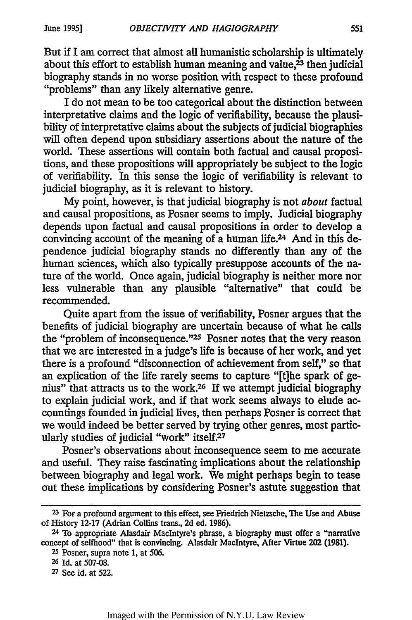But if I am correct that almost all humanistic scholarship is ultimately about this effort to establish human meaning and value, $2<sup>3</sup>$  then judicial biography stands in no worse position with respect to these profound "problems" than any likely alternative genre.

I do not mean to be too categorical about the distinction between interpretative claims and the logic of verifiability, because the plausibility of interpretative claims about the subjects of judicial biographies will often depend upon subsidiary assertions about the nature of the world. These assertions will contain both factual and causal propositions, and these propositions will appropriately be subject to the logic of verifiability. In this sense the logic of verifiability is relevant to judicial biography, as it is relevant to history.

My point, however, is that judicial biography is not *about* factual and causal propositions, as Posner seems to imply. Judicial biography depends upon factual and causal propositions in order to develop a convincing account of the meaning of a human life.24 And in this dependence judicial biography stands no differently than any of the human sciences, which also typically presuppose accounts of the nature of the world. Once again, judicial biography is neither more nor less vulnerable than any plausible "alternative" that could be recommended.

Quite apart from the issue of verifiability, Posner argues that the benefits of judicial biography are uncertain because of what he calls the "problem of inconsequence."25 Posner notes that the very reason that we are interested in a judge's life is because of her work, and yet there is a profound "disconnection of achievement from self," so that an explication of the life rarely seems to capture "[t]he spark of genius" that attracts us to the work.26 If we attempt judicial biography to explain judicial work, and if that work seems always to elude accountings founded in judicial lives, then perhaps Posner is correct that we would indeed be better served by trying other genres, most particularly studies of judicial "work" itself.<sup>27</sup>

Posner's observations about inconsequence seem to me accurate and useful. They raise fascinating implications about the relationship between biography and legal work. We might perhaps begin to tease out these implications by considering Posner's astute suggestion that

**<sup>23</sup>**For a profound argument to this effect, see Friedrich Nietzsche, The Use and Abuse of History 12-17 (Adrian Collins trans., 2d ed. 1986).

<sup>24</sup>To appropriate Alasdair Maclntyre's phrase, a biography must offer a "narrative concept of selfhood" that is convincing. Alasdair MacIntyre, After Virtue 202 (1981).

**<sup>25</sup>**Posner, supra note 1, at 506.

**<sup>26</sup>**Id. at **507-08.**

**<sup>27</sup>**See id. at 522.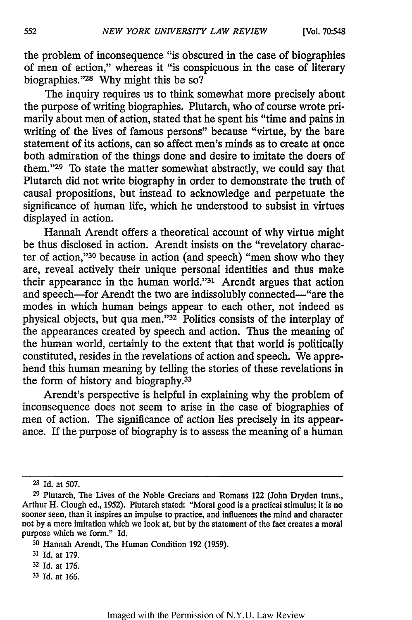the problem of inconsequence "is obscured in the case of biographies of men of action," whereas it "is conspicuous in the case of literary biographies."<sup>28</sup> Why might this be so?

The inquiry requires us to think somewhat more precisely about the purpose of writing biographies. Plutarch, who of course wrote primarily about men of action, stated that he spent his "time and pains in writing of the lives of famous persons" because "virtue, by the bare statement of its actions, can so affect men's minds as to create at once both admiration of the things done and desire to imitate the doers of them. '29 To state the matter somewhat abstractly, we could say that Plutarch did not write biography in order to demonstrate the truth of causal propositions, but instead to acknowledge and perpetuate the significance of human life, which he understood to subsist in virtues displayed in action.

Hannah Arendt offers a theoretical account of why virtue might be thus disclosed in action. Arendt insists on the "revelatory character of action, '30 because in action (and speech) "men show who they are, reveal actively their unique personal identities and thus make their appearance in the human world."<sup>31</sup> Arendt argues that action and speech-for Arendt the two are indissolubly connected-"are the modes in which human beings appear to each other, not indeed as physical objects, but qua men."32 Politics consists of the interplay of the appearances created by speech and action. Thus the meaning of the human world, certainly to the extent that that world is politically constituted, resides in the revelations of action and speech. We apprehend this human meaning by telling the stories of these revelations in the form of history and biography.<sup>33</sup>

Arendt's perspective is helpful in explaining why the problem of inconsequence does not seem to arise in the case of biographies of men of action. The significance of action lies precisely in its appearance. If the purpose of biography is to assess the meaning of a human

**<sup>28</sup>**Id. at **507.**

**<sup>29</sup>**Plutarch, The Lives of the Noble Grecians and Romans 122 (John Dryden trans., Arthur H. Clough ed., 1952). Plutarch stated: "Moral good is a practical stimulus; it is no sooner seen, than it inspires an impulse to practice, and influences the mind and character not by a mere imitation which we look at, but by the statement of the fact creates a moral purpose which we form." Id.

**<sup>30</sup>**Hannah Arendt, The Human Condition 192 (1959).

**<sup>31</sup>**Id. at 179.

**<sup>32</sup>**Id. at 176.

**<sup>33</sup>**Id. at 166.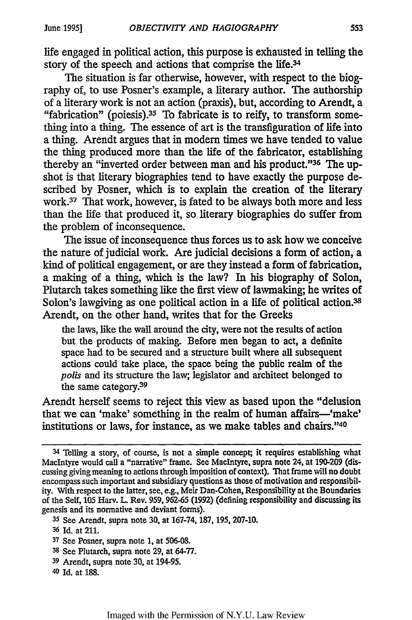life engaged in political action, this purpose is exhausted in telling the story of the speech and actions that comprise the life.<sup>34</sup>

The situation is far otherwise, however, with respect to the biography of, to use Posner's example, a literary author. The authorship of a literary work is not an action (praxis), but, according to Arendt, a "fabrication" (poiesis).<sup>35</sup> To fabricate is to reify, to transform something into a thing. The essence of art is the transfiguration of life into a thing. Arendt argues that in modem times we have tended to value the thing produced more than the life of the fabricator, establishing thereby an "inverted order between man and his product."36 The upshot is that literary biographies tend to have exactly the purpose described by Posner, which is to explain the creation of the literary work.37 That work, however, is fated to be always both more and less than the life that produced it, so literary biographies do suffer from the problem of inconsequence.

The issue of inconsequence thus forces us to ask how we conceive the nature of judicial work. Are judicial decisions a form of action, a kind of political engagement, or are they instead a form of fabrication, a making of a thing, which is the law? In his biography of Solon, Plutarch takes something like the first view of lawmaking; he writes of Solon's lawgiving as one political action in a life of political action.<sup>38</sup> Arendt, on the other hand, writes that for the Greeks

the laws, like the wall around the city, were not the results of action but the products of making. Before men began to act, a definite space had to be secured and a structure built where all subsequent actions could take place, the space being the public realm of the *polls* and its structure the law; legislator and architect belonged to the same category.<sup>39</sup>

Arendt herself seems to reject this view as based upon the "delusion that we can 'make' something in the realm of human affairs--'make' institutions or laws, for instance, as we make tables and chairs."40

<sup>34</sup> Telling a story, of course, is not a simple concept; it requires establishing what MacIntyre would call a "narrative" frame. See MacIntyre, supra note 24, at 190-209 (discussing giving meaning to actions through imposition of context). That frame will no doubt encompass such important and subsidiary questions as those of motivation and responsibility. With respect to the latter, see, e.g., Meir Dan-Cohen, Responsibility at the Boundaries of the Self, 105 Harv. L. Rev. 959, 962-65 (1992) (defining responsibility and discussing its genesis and its normative and deviant forms).

**<sup>35</sup>**See Arendt, supra note **30,** at 167-74, 187, 195, 207-10.

**<sup>36</sup>**Id. at 211.

**<sup>37</sup>**See Posner, supra note 1, at 506-08.

**<sup>38</sup>**See Plutarch, supra note 29, at 64-77.

**<sup>39</sup>**Arendt, supra note **30,** at 194-95.

<sup>40</sup> Id. at 188.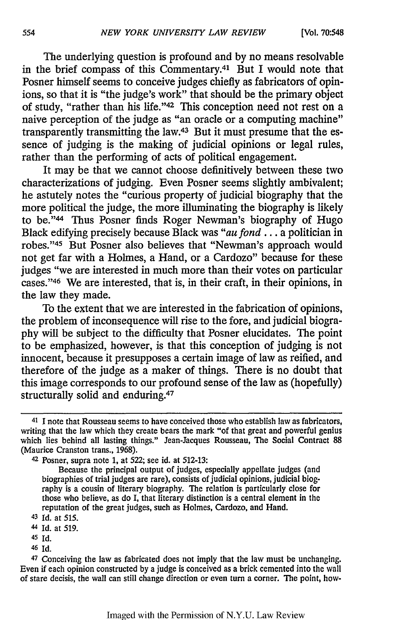The underlying question is profound and by no means resolvable in the brief compass of this Commentary.41 But I would note that Posner himself seems to conceive judges chiefly as fabricators of opinions, so that it is "the judge's work" that should be the primary object of study, "rather than his life."<sup>42</sup> This conception need not rest on a naive perception of the judge as "an oracle or a computing machine" transparently transmitting the law.43 But it must presume that the essence of judging is the making of judicial opinions or legal rules, rather than the performing of acts of political engagement.

It may be that we cannot choose definitively between these two characterizations of judging. Even Posner seems slightly ambivalent; he astutely notes the "curious property of judicial biography that the more political the judge, the more illuminating the biography is likely to be."44 Thus Posner finds Roger Newman's biography of Hugo Black edifying precisely because Black was *"au fond...* a politician in robes."45 But Posner also believes that "Newman's approach would not get far with a Holmes, a Hand, or a Cardozo" because for these judges "we are interested in much more than their votes on particular cases."'46 We are interested, that is, in their craft, in their opinions, in the law they made.

To the extent that we are interested in the fabrication of opinions, the problem of inconsequence will rise to the fore, and judicial biography will be subject to the difficulty that Posner elucidates. The point to be emphasized, however, is that this conception of judging is not innocent, because it presupposes a certain image of law as reified, and therefore of the judge as a maker of things. There is no doubt that this image corresponds to our profound sense of the law as (hopefully) structurally solid and enduring.<sup>47</sup>

- 45 Id.
- <sup>46</sup>Id.

554

<sup>&</sup>lt;sup>41</sup> I note that Rousseau seems to have conceived those who establish law as fabricators, writing that the law which they create bears the mark "of that great and powerful genius which lies behind all lasting things." Jean-Jacques Rousseau, The Social Contract 88 (Maurice Cranston trans., 1968).

<sup>42</sup>Posner, supra note 1, at 522; see id. at 512-13:

Because the principal output of judges, especially appellate judges (and biographies of trial judges are rare), consists of judicial opinions, judicial biography is a cousin of literary biography. The relation is particularly close for those who believe, as do I, that literary distinction is a central element in the reputation of the great judges, such as Holmes, Cardozo, and Hand.

<sup>43</sup> Id. at **515.**

<sup>44</sup> Id. at **519.**

<sup>47</sup>Conceiving the law as fabricated does not imply that the law must be unchanging. Even if each opinion constructed by a judge is conceived as a brick cemented into the wall of stare decisis, the wall can still change direction or even turn a corner. The point, how-